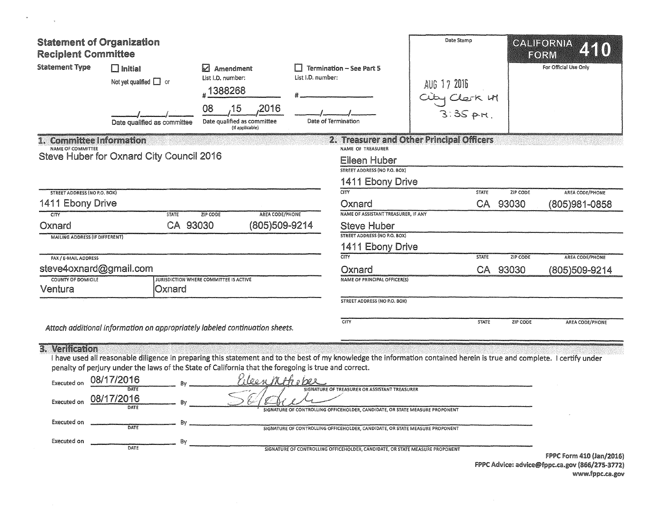| <b>Reciplent Committee</b>                                                                                                     | <b>Statement of Organization</b>                                     |                                                                                                                                                                                                                                                                                 |                   |                                                                                              | Date Stamp                                |                 | CALIFORNIA<br>FORM    |
|--------------------------------------------------------------------------------------------------------------------------------|----------------------------------------------------------------------|---------------------------------------------------------------------------------------------------------------------------------------------------------------------------------------------------------------------------------------------------------------------------------|-------------------|----------------------------------------------------------------------------------------------|-------------------------------------------|-----------------|-----------------------|
| <b>Statement Type</b>                                                                                                          | $\square$ Initial<br>Not yet qualified $\Box$ or                     | <b>Amendment</b><br>List I.D. number:<br>#1388268<br>2016<br>08<br>15                                                                                                                                                                                                           | List I.D. number: | <b>Termination - See Part 5</b>                                                              | AUG 17 2016<br>City Clerk 11              |                 | For Official Use Only |
|                                                                                                                                | Date qualified as committee                                          | Date qualified as committee<br>(if applicable)                                                                                                                                                                                                                                  |                   | Date of Termination                                                                          |                                           |                 |                       |
| NAME OF COMMITTEE                                                                                                              | 1. Committee Information<br>Steve Huber for Oxnard City Council 2016 |                                                                                                                                                                                                                                                                                 |                   | NAME OF TREASURER<br><b>Eileen Huber</b><br>STREET ADDRESS (NO P.O. BOX)<br>1411 Ebony Drive | 2. Treasurer and Other Principal Officers |                 |                       |
| STREET ADDRESS (NO P.O. BOX)                                                                                                   |                                                                      |                                                                                                                                                                                                                                                                                 |                   | $\overline{\text{CITY}}$                                                                     | <b>STATE</b>                              | ZIP CODE        | AREA CODE/PHONE       |
| 1411 Ebony Drive                                                                                                               |                                                                      |                                                                                                                                                                                                                                                                                 |                   | Oxnard                                                                                       | CA                                        | 93030           | (805)981-0858         |
| $\overline{\text{CTV}}$                                                                                                        |                                                                      | AREA CODE/PHONE<br><b>STATE</b><br>ZIP CODE                                                                                                                                                                                                                                     |                   | NAME OF ASSISTANT TREASURER, IF ANY                                                          |                                           |                 |                       |
| Oxnard                                                                                                                         |                                                                      | CA 93030<br>(805)509-9214                                                                                                                                                                                                                                                       |                   | <b>Steve Huber</b>                                                                           |                                           |                 |                       |
| <b>MAILING ADDRESS (IF DIFFERENT)</b>                                                                                          |                                                                      |                                                                                                                                                                                                                                                                                 |                   | <b>STREET ADDRESS (NO P.O. BOX)</b>                                                          |                                           |                 |                       |
|                                                                                                                                |                                                                      |                                                                                                                                                                                                                                                                                 |                   | 1411 Ebony Drive                                                                             |                                           |                 |                       |
| FAX / E-MAIL ADDRESS                                                                                                           |                                                                      |                                                                                                                                                                                                                                                                                 |                   | CITY                                                                                         | <b>STATE</b>                              | <b>ZIP CODE</b> | AREA CODE/PHONE       |
|                                                                                                                                | steve4oxnard@gmail.com                                               |                                                                                                                                                                                                                                                                                 |                   | Oxnard                                                                                       | CA                                        | 93030           | (805)509-9214         |
| <b>COUNTY OF DOMICILE</b>                                                                                                      |                                                                      | <b>JURISDICTION WHERE COMMITTEE IS ACTIVE</b>                                                                                                                                                                                                                                   |                   | NAME OF PRINCIPAL OFFICER(S)                                                                 |                                           |                 |                       |
| Ventura                                                                                                                        |                                                                      | Oxnard                                                                                                                                                                                                                                                                          |                   |                                                                                              |                                           |                 |                       |
|                                                                                                                                |                                                                      |                                                                                                                                                                                                                                                                                 |                   | <b>STREET ADDRESS (NO P.O. BOX)</b>                                                          |                                           |                 |                       |
|                                                                                                                                |                                                                      | Attach additional information on appropriately labeled continuation sheets.                                                                                                                                                                                                     |                   | CITY                                                                                         | <b>STATE</b>                              | ZIP CODE        | AREA CODE/PHONE       |
| 3. Verification                                                                                                                |                                                                      | I have used all reasonable diligence in preparing this statement and to the best of my knowledge the information contained herein is true and complete. I certify under<br>penalty of perjury under the laws of the State of California that the foregoing is true and correct. |                   |                                                                                              |                                           |                 |                       |
| Executed on                                                                                                                    | 08/17/2016<br>DATE                                                   | leen MAhoper                                                                                                                                                                                                                                                                    |                   | SIGNATURE OF TREASURER OR ASSISTANT TREASURER                                                |                                           |                 |                       |
| 08/17/2016<br>Executed on<br>Bv<br><b>DATE</b><br>SIGNATURE OF CONTROLLING OFFICEHOLDER, CANDIDATE, OR STATE MEASURE PROPONENT |                                                                      |                                                                                                                                                                                                                                                                                 |                   |                                                                                              |                                           |                 |                       |
| Executed on                                                                                                                    | DATE                                                                 | Bv                                                                                                                                                                                                                                                                              |                   | SIGNATURE OF CONTROLLING OFFICEHOLDER, CANDIDATE, OR STATE MEASURE PROPONENT                 |                                           |                 |                       |
| Executed on                                                                                                                    | DATE                                                                 | Bv                                                                                                                                                                                                                                                                              |                   | SIGNATURE OF CONTROLLING OFFICEHOLDER, CANDIDATE, OR STATE MEASURE PROPONENT                 |                                           |                 |                       |

 $\label{eq:2.1} \mathcal{D} \mathcal{D} = \mathcal{D} \mathcal{D} \mathcal{D}$ 

FPPC Form 410 (Jan/2016)<br>FPPC Advice: advice@fppc.ca.gov (866/275-3772)<br>www.fppc.ca.gov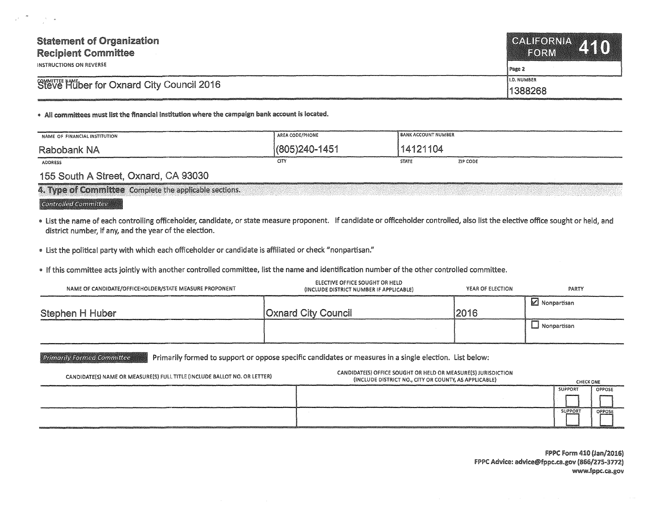| <b>Statement of Organization</b><br><b>Recipient Committee</b> | CALIFORNIA 410<br>FORM |  |
|----------------------------------------------------------------|------------------------|--|
| INSTRUCTIONS ON REVERSE                                        | Page 2                 |  |
| Steve Huber for Oxnard City Council 2016                       | <b>I.D. NUMBER</b>     |  |
|                                                                | 1388268                |  |

## • All committees must list the financial institution where the campaign bank account is located.

| NAME OF FINANCIAL INSTITUTION | AREA CODE/PHONE  | <b>BANK ACCOUNT NUMBER</b> |          |
|-------------------------------|------------------|----------------------------|----------|
| Rabobank NA                   | (805) 240 - 1451 | 14121104                   |          |
| <b>ADDRESS</b>                | CITY             | <b>STATE</b>               | ZIP CODE |

## 155 South A Street, Oxnard, CA 93030

4. Type of Committee: Complete the applicable sections.

## **Controlled Committee**

- List the name of each controlling officeholder, candidate, or state measure proponent. If candidate or officeholder controlled, also list the elective office sought or held, and district number, if any, and the year of the election.
- . List the political party with which each officeholder or candidate is affiliated or check "nonpartisan."
- .. If this committee acts jointly with another controlled committee, list the name and identification number of the other controlled committee.

| NAME OF CANDIDATE/OFFICEHOLDER/STATE MEASURE PROPONENT | <b>ELECTIVE OFFICE SOUGHT OR HELD</b><br>(INCLUDE DISTRICT NUMBER IF APPLICABLE) | YEAR OF ELECTION | PARTY                   |
|--------------------------------------------------------|----------------------------------------------------------------------------------|------------------|-------------------------|
| Stephen H Huber                                        | <b>Oxnard City Council</b>                                                       | 2016             | $\mathbb Z$ Nonpartisan |
|                                                        |                                                                                  |                  | ∟J Nonpartisan          |

**Primarily Formed Committee** Primarily formed to support or oppose specific candidates or measures in a single election. List below:

| CANDIDATE(S) NAME OR MEASURE(S) FULL TITLE (INCLUDE BALLOT NO. OR LETTER) | CANDIDATE(S) OFFICE SOUGHT OR HELD OR MEASURE(S) JURISDICTION<br>(INCLUDE DISTRICT NO., CITY OR COUNTY, AS APPLICABLE) | <b>CHECK ONE</b> |        |
|---------------------------------------------------------------------------|------------------------------------------------------------------------------------------------------------------------|------------------|--------|
|                                                                           |                                                                                                                        | <b>SUPPORT</b>   | OPPOSE |
|                                                                           |                                                                                                                        |                  |        |
|                                                                           |                                                                                                                        | SUPPORT          | OPPOSE |
|                                                                           |                                                                                                                        |                  |        |

**FPPC Form 410 (Jan/2016)** IFPPC Advice: advice@fppc.ca.gov {866/275-3712) www.fppc.ca.gov